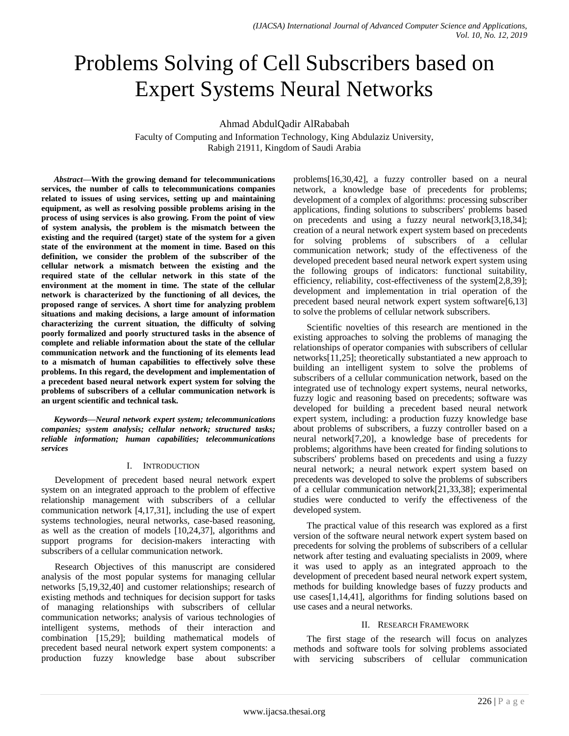# Problems Solving of Cell Subscribers based on Expert Systems Neural Networks

Ahmad AbdulQadir AlRababah

Faculty of Computing and Information Technology, King Abdulaziz University, Rabigh 21911, Kingdom of Saudi Arabia

*Abstract***—With the growing demand for telecommunications services, the number of calls to telecommunications companies related to issues of using services, setting up and maintaining equipment, as well as resolving possible problems arising in the process of using services is also growing. From the point of view of system analysis, the problem is the mismatch between the existing and the required (target) state of the system for a given state of the environment at the moment in time. Based on this definition, we consider the problem of the subscriber of the cellular network a mismatch between the existing and the required state of the cellular network in this state of the environment at the moment in time. The state of the cellular network is characterized by the functioning of all devices, the proposed range of services. A short time for analyzing problem situations and making decisions, a large amount of information characterizing the current situation, the difficulty of solving poorly formalized and poorly structured tasks in the absence of complete and reliable information about the state of the cellular communication network and the functioning of its elements lead to a mismatch of human capabilities to effectively solve these problems. In this regard, the development and implementation of a precedent based neural network expert system for solving the problems of subscribers of a cellular communication network is an urgent scientific and technical task.**

*Keywords—Neural network expert system; telecommunications companies; system analysis; cellular network; structured tasks; reliable information; human capabilities; telecommunications services*

# I. INTRODUCTION

Development of precedent based neural network expert system on an integrated approach to the problem of effective relationship management with subscribers of a cellular communication network [4,17,31], including the use of expert systems technologies, neural networks, case-based reasoning, as well as the creation of models [10,24,37], algorithms and support programs for decision-makers interacting with subscribers of a cellular communication network.

Research Objectives of this manuscript are considered analysis of the most popular systems for managing cellular networks [5,19,32,40] and customer relationships; research of existing methods and techniques for decision support for tasks of managing relationships with subscribers of cellular communication networks; analysis of various technologies of intelligent systems, methods of their interaction and combination [15,29]; building mathematical models of precedent based neural network expert system components: a production fuzzy knowledge base about subscriber problems[16,30,42], a fuzzy controller based on a neural network, a knowledge base of precedents for problems; development of a complex of algorithms: processing subscriber applications, finding solutions to subscribers' problems based on precedents and using a fuzzy neural network[3,18,34]; creation of a neural network expert system based on precedents for solving problems of subscribers of a cellular communication network; study of the effectiveness of the developed precedent based neural network expert system using the following groups of indicators: functional suitability, efficiency, reliability, cost-effectiveness of the system[2,8,39]; development and implementation in trial operation of the precedent based neural network expert system software[6,13] to solve the problems of cellular network subscribers.

Scientific novelties of this research are mentioned in the existing approaches to solving the problems of managing the relationships of operator companies with subscribers of cellular networks[11,25]; theoretically substantiated a new approach to building an intelligent system to solve the problems of subscribers of a cellular communication network, based on the integrated use of technology expert systems, neural networks, fuzzy logic and reasoning based on precedents; software was developed for building a precedent based neural network expert system, including: a production fuzzy knowledge base about problems of subscribers, a fuzzy controller based on a neural network[7,20], a knowledge base of precedents for problems; algorithms have been created for finding solutions to subscribers' problems based on precedents and using a fuzzy neural network; a neural network expert system based on precedents was developed to solve the problems of subscribers of a cellular communication network[21,33,38]; experimental studies were conducted to verify the effectiveness of the developed system.

The practical value of this research was explored as a first version of the software neural network expert system based on precedents for solving the problems of subscribers of a cellular network after testing and evaluating specialists in 2009, where it was used to apply as an integrated approach to the development of precedent based neural network expert system, methods for building knowledge bases of fuzzy products and use cases[1,14,41], algorithms for finding solutions based on use cases and a neural networks.

# II. RESEARCH FRAMEWORK

The first stage of the research will focus on analyzes methods and software tools for solving problems associated with servicing subscribers of cellular communication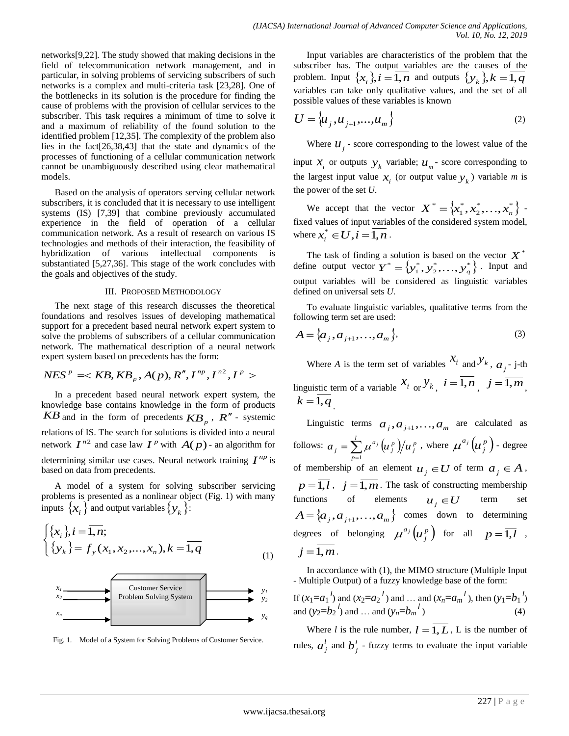networks[9,22]. The study showed that making decisions in the field of telecommunication network management, and in particular, in solving problems of servicing subscribers of such networks is a complex and multi-criteria task [23,28]. One of the bottlenecks in its solution is the procedure for finding the cause of problems with the provision of cellular services to the subscriber. This task requires a minimum of time to solve it and a maximum of reliability of the found solution to the identified problem [12,35]. The complexity of the problem also lies in the fact[26,38,43] that the state and dynamics of the processes of functioning of a cellular communication network cannot be unambiguously described using clear mathematical models.

Based on the analysis of operators serving cellular network subscribers, it is concluded that it is necessary to use intelligent systems (IS) [7,39] that combine previously accumulated experience in the field of operation of a cellular communication network. As a result of research on various IS technologies and methods of their interaction, the feasibility of hybridization of various intellectual components is substantiated [5,27,36]. This stage of the work concludes with the goals and objectives of the study.

#### III. PROPOSED METHODOLOGY

The next stage of this research discusses the theoretical foundations and resolves issues of developing mathematical support for a precedent based neural network expert system to solve the problems of subscribers of a cellular communication network. The mathematical description of a neural network

expert system based on precedents has the form:  

$$
NES^p \leq KB, KB_p, A(p), R'', I^{np}, I^{n2}, I^p >
$$

In a precedent based neural network expert system, the knowledge base contains knowledge in the form of products *KB* and in the form of precedents  $KB_p$ ,  $R''$  - systemic relations of IS. The search for solutions is divided into a neural network  $I^{n2}$  and case law  $I^p$  with  $A(p)$  - an algorithm for determining similar use cases. Neural network training  $I^{np}$  is based on data from precedents.

A model of a system for solving subscriber servicing problems is presented as a nonlinear object (Fig. 1) with many inputs  $\{x_i\}$  and output variables  $\{y_k\}$ :

$$
\begin{cases} \{x_i\}, i = \overline{1, n};\\ \{y_k\} = f_y(x_1, x_2, \dots, x_n), k = \overline{1, q} \end{cases}
$$
 (1)



Fig. 1. Model of a System for Solving Problems of Customer Service.

Input variables are characteristics of the problem that the subscriber has. The output variables are the causes of the problem. Input  $\{x_i\}, i = \overline{1, n}$  and outputs  $\{y_k\}, k = \overline{1, q}$ variables can take only qualitative values, and the set of all possible values of these variables is known

$$
U = \left\{ u_j, u_{j+1}, \dots, u_m \right\} \tag{2}
$$

Where  $u_j$  - score corresponding to the lowest value of the input  $x_i$  or outputs  $y_k$  variable;  $u_m$ - score corresponding to the largest input value  $x_i$  (or output value  $y_k$ ) variable *m* is the power of the set *U*.

We accept that the vector  $X^* = \{x_1^*, x_2^*, \ldots, x_n^*\}$ 2 \* 1  $X^* = \{x_1^*, x_2^*, \ldots, x_n^*\}$  fixed values of input variables of the considered system model, where  $x_i^* \in U$ ,  $i = \overline{1, n}$ .

The task of finding a solution is based on the vector  $X^*$ define output vector  $\boldsymbol{Y}^* = \left\{ y_1^*, y_2^*, \ldots, y_q^* \right\}$ . Input and output variables will be considered as linguistic variables defined on universal sets *U*.

To evaluate linguistic variables, qualitative terms from the following term set are used:

$$
A = \{a_j, a_{j+1}, \dots, a_m\},\tag{3}
$$

Where *A* is the term set of variables  $x_i$  and  $y_k$ ,  $a_j$ - j-th linguistic term of a variable  $x_i$  or  $y_k$ ,  $i = \overline{1,n}$ ,  $j = \overline{1,m}$ ,  $k = \overline{1, q}$ .

Linguistic terms  $a_j, a_{j+1},..., a_m$  are calculated as follows:  $a_j = \sum_{p=1}^k \mu^{a_j} \left( u_j^p \right)$  $=$  $\sum$ *p p j p j*  $a_{j} = \sum_{i}^{\infty} \mu^{a_{j}} \left(u_{j}^{p}\right) / u$ 1  $\mu^{a_j}(\!\!u^{\,p}_i\!\!)\!/\!\!u^{\,p}_i$  , where  $\mu^{a_j}(\!\!u^{\,p}_i\!\!)\!$ *j*  $\mu^{a_j}\bigl(\!\mu_{\,\,i}^{\,p}\,\bigr)$  - degree of membership of an element  $u_j \in U$  of term  $a_j \in A$ ,  $p = \overline{1, l}$ ,  $j = \overline{1, m}$ . The task of constructing membership functions of elements  $u_j \in U$  term set  $A = \{a_j, a_{j+1},..., a_m\}$  comes down to determining degrees of belonging  $\mu^{a_j}(u_i^p)$ *j*  $\mu^{a_j}\big(u^{\,p}_{\,i}\big)$  for all  $p=\overline{1,l}$  ,  $j = 1, m$ .

In accordance with (1), the MIMO structure (Multiple Input - Multiple Output) of a fuzzy knowledge base of the form:

If 
$$
(x_1=a_1)^l
$$
 and  $(x_2=a_2)^l$  and ... and  $(x_n=a_m)^l$ , then  $(y_1=b_1)^l$   
and  $(y_2=b_2)^l$  and ... and  $(y_n=b_m)^l$  (4)

Where *l* is the rule number,  $l = \overline{1, L}$ , L is the number of rules,  $a_j^l$  and  $b_j^l$  - fuzzy terms to evaluate the input variable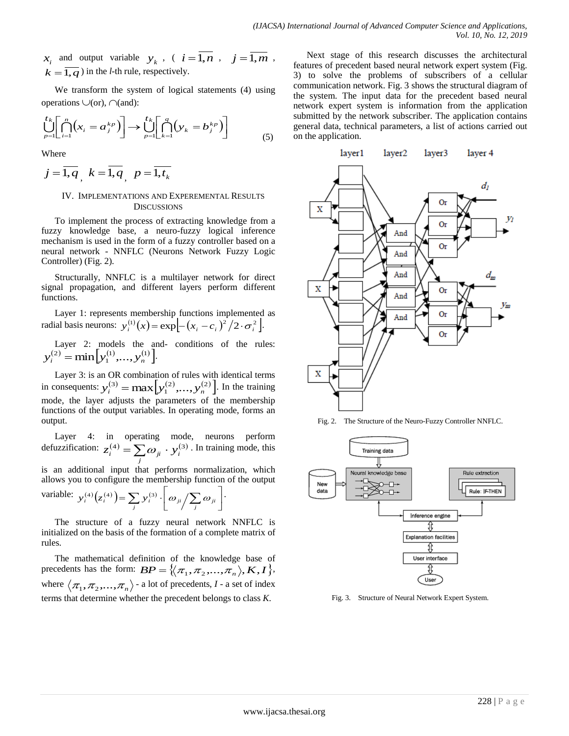and output variable  $y_k$ , (  $i = \overline{1, n}$ ,  $j = \overline{1, m}$ ,  $k = \overline{1, q}$ ) in the *l*-th rule, respectively.

We transform the system of logical statements (4) using operations  $\cup$ (or),  $\cap$ (and):

$$
\bigcup_{p=1}^{t_k} \left[ \bigcap_{i=1}^n (x_i = a_j^{kp}) \right] \to \bigcup_{p=1}^{t_k} \left[ \bigcap_{k=1}^q (y_k = b_j^{kp}) \right] \tag{5}
$$

Where

$$
j=\overline{1,q},\ k=\overline{1,q},\ p=\overline{1,t_k}
$$

# IV. IMPLEMENTATIONS AND EXPEREMENTAL RESULTS **DISCUSSIONS**

To implement the process of extracting knowledge from a fuzzy knowledge base, a neuro-fuzzy logical inference mechanism is used in the form of a fuzzy controller based on a neural network - NNFLC (Neurons Network Fuzzy Logic Controller) (Fig. 2).

Structurally, NNFLC is a multilayer network for direct signal propagation, and different layers perform different functions.

Layer 1: represents membership functions implemented as radial basis neurons:  $y_i^{(1)}(x) = \exp\left[-(x_i - c_i)^2/2 \cdot \sigma_i^2\right]$ .

Layer 2: models the and- conditions of the rules:  $y_i^{(2)} = \min[y_1^{(1)},..., y_n^{(1)}].$ 

*x*<sub>*K*</sub> and output variable  $y_i$ ,  $(i = \overline{1, n}$ ,  $j = \overline{1, m}$ , Next  $x_i$  and  $y_i$  and  $y_i$  and  $y_i$  and  $y_i$  and  $y_i$  and  $y_i$  and  $y_i$  and  $y_i$  and  $y_i$  and  $y_i$  and  $y_i$  and  $y_i$  and  $y_i$  and  $y_i$  and  $y_i$  and  $y_i$  and Layer 3: is an OR combination of rules with identical terms in consequents:  $y_i^{(3)} = \max[y_1^{(2)}, \dots, y_n^{(2)}]$ . In the training mode, the layer adjusts the parameters of the membership functions of the output variables. In operating mode, forms an output.

Layer 4: in operating mode, neurons perform defuzzification:  $z_i^{(4)} = \sum_j \omega_{ji} \cdot y_i^{(3)}$ . In training mode, this

is an additional input that performs normalization, which allows you to configure the membership function of the output

variable: 
$$
y_i^{(4)}(z_i^{(4)}) = \sum_j y_i^{(3)} \cdot \left[\omega_{ji} / \sum_j \omega_{ji}\right]
$$
.

The structure of a fuzzy neural network NNFLC is initialized on the basis of the formation of a complete matrix of rules.

The mathematical definition of the knowledge base of precedents has the form:  $BP = \{(\pi_1, \pi_2, ..., \pi_n), K, I\}$ , where  $\langle \pi_1, \pi_2, ..., \pi_n \rangle$  - a lot of precedents, *I* - a set of index terms that determine whether the precedent belongs to class *K*.

Next stage of this research discusses the architectural features of precedent based neural network expert system (Fig. 3) to solve the problems of subscribers of a cellular communication network. Fig. 3 shows the structural diagram of the system. The input data for the precedent based neural network expert system is information from the application submitted by the network subscriber. The application contains general data, technical parameters, a list of actions carried out on the application.



Fig. 2. The Structure of the Neuro-Fuzzy Controller NNFLC.



Fig. 3. Structure of Neural Network Expert System.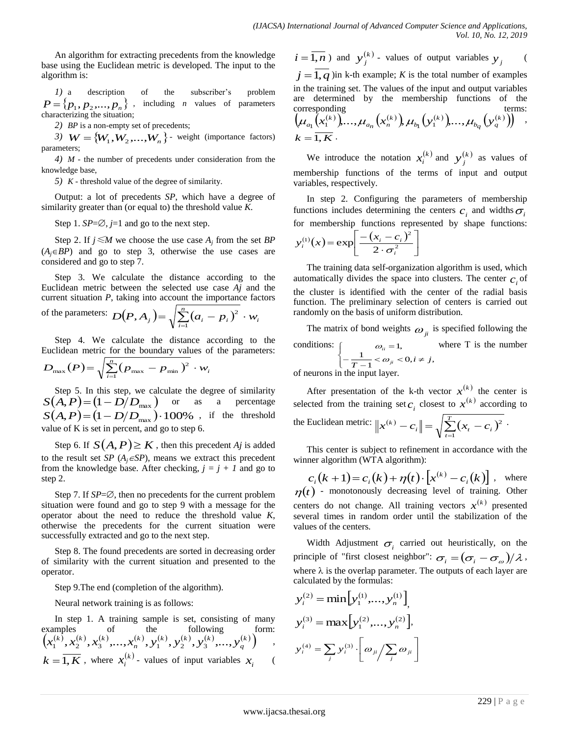An algorithm for extracting precedents from the knowledge base using the Euclidean metric is developed. The input to the algorithm is:

*1)* a description of the subscriber's problem  $P = \{p_1, p_2,..., p_n\}$ , including *n* values of parameters characterizing the situation;

*2) BP* is a non-empty set of precedents;

*3*)  $W = \{W_1, W_2, \ldots, W_n\}$  - weight (importance factors) parameters;

*4) M* - the number of precedents under consideration from the knowledge base,

*5) K* - threshold value of the degree of similarity.

Output: a lot of precedents *SP*, which have a degree of similarity greater than (or equal to) the threshold value *K*.

Step 1.  $SP = \emptyset$ , *j*=1 and go to the next step.

Step 2. If  $j \le M$  we choose the use case  $A_j$  from the set  $BP$  $(A_i \in BP)$  and go to step 3, otherwise the use cases are considered and go to step 7.

Step 3. We calculate the distance according to the Euclidean metric between the selected use case *Aj* and the current situation *P*, taking into account the importance factors

of the parameters: 
$$
D(P, A_j) = \sqrt{\sum_{i=1}^{n} (a_i - p_i)^2} \cdot w_i
$$

Step 4. We calculate the distance according to the Euclidean metric for the boundary values of the parameters: *n*

$$
D_{\max}(P) = \sqrt{\sum_{i=1}^{n} (p_{\max} - p_{\min})^2} \cdot w_i
$$

Step 5. In this step, we calculate the degree of similarity  $S(A, P) = (1 - D/D_{\text{max}})$  or as a percentage  $S(A, P) = (1 - D/D_{\text{max}}) \cdot 100\%$  , if the threshold value of K is set in percent, and go to step 6.

Step 6. If  $S(A, P) \geq K$ , then this precedent *Aj* is added to the result set *SP* ( $A_j \in SP$ ), means we extract this precedent from the knowledge base. After checking,  $j = j + 1$  and go to step 2.

Step 7. If  $SP = \emptyset$ , then no precedents for the current problem situation were found and go to step 9 with a message for the operator about the need to reduce the threshold value *K*, otherwise the precedents for the current situation were successfully extracted and go to the next step.

Step 8. The found precedents are sorted in decreasing order of similarity with the current situation and presented to the operator.

Step 9.The end (completion of the algorithm).

Neural network training is as follows:

In step 1. A training sample is set, consisting of many examples of the following form:  $\left(x_1^{(k)}, x_2^{(k)}, x_3^{(k)}, \ldots, x_n^{(k)}, y_1^{(k)}, y_2^{(k)}, y_3^{(k)}, \ldots, y_n^{(k)}\right)$ *q*  $k)$  (k)  $(k)$   $(k)$   $(k)$ *n*  $x_1^{(k)}, x_2^{(k)}, x_3^{(k)}, ..., x_n^{(k)}, y_1^{(k)}, y_2^{(k)}, y_3^{(k)}, ..., y_n^{(k)}$ ,  $k = \overline{1, K}$ , where  $x_i^{(k)}$  $x_i^{(k)}$  - values of input variables  $x_i$  (

$$
i = \overline{1, n}
$$
 and  $y_j^{(k)}$  values of output variables  $y_j$  (  
  $j = \overline{1, q}$ ) in k-th example; K is the total number of examples  
in the training set. The values of the input and output variables  
are determined by the membership functions of the  
 corresponding  
  $(\mu_{a_1}(x_1^{(k)}), ..., \mu_{a_n}(x_n^{(k)}) \mu_{b_1}(y_1^{(k)}), ..., \mu_{b_q}(y_q^{(k)})))$ ,  
  $k = \overline{1, K}$ .

We introduce the notation  $x_i^{(k)}$  and  $y_i^{(k)}$  $y_j^{(k)}$  as values of membership functions of the terms of input and output variables, respectively.

In step 2. Configuring the parameters of membership functions includes determining the centers  $c_i$  and widths  $\sigma_i$ for membership functions represented by shape functions:

$$
y_i^{(1)}(x) = \exp\left[\frac{-(x_i - c_i)^2}{2 \cdot \sigma_i^2}\right]
$$

The training data self-organization algorithm is used, which automatically divides the space into clusters. The center  $c_i$  of the cluster is identified with the center of the radial basis function. The preliminary selection of centers is carried out randomly on the basis of uniform distribution.

The matrix of bond weights  $\omega_{ji}$  is specified following the conditions:  $\overline{C}$  $\int$  $\sqrt{ }$  $-\frac{1}{T-1} < \omega_{ji} < 0, i \neq$  $=$  $\frac{1}{1} < \omega_{ji} < 0, i \neq j,$ 1 1,  $\frac{1}{T-1}$  <  $\omega_{ji}$  < 0, *i*  $\neq j$ *ii*  $\omega$  $\omega_{ii} = 1$ , where T is the number

of neurons in the input layer.

After presentation of the k-th vector  $x^{(k)}$  the center is selected from the training set  $c_i$  closest to  $x^{(k)}$  according to the Euclidean metric:  $||x^{(k)} - c_i|| = \sqrt{\sum_{t=1}^{T} (x_t - c_i)^2}$  $\|x^{(k)} - c_i\| = \sqrt{\sum_{t=1}^{L} (x_t - c_i)}$ 2 .

This center is subject to refinement in accordance with the winner algorithm (WTA algorithm):

 $c_i(k+1) = c_i(k) + \eta(t) \cdot \left[ x^{(k)} - c_i(k) \right]$ , where  $\eta(t)$  - monotonously decreasing level of training. Other centers do not change. All training vectors  $x^{(k)}$  presented several times in random order until the stabilization of the values of the centers.

Width Adjustment  $\sigma_i$  carried out heuristically, on the principle of "first closest neighbor":  $\sigma_i = (\sigma_i - \sigma_\omega)/\lambda$  , where  $\lambda$  is the overlap parameter. The outputs of each layer are calculated by the formulas:

$$
y_i^{(2)} = \min [y_1^{(1)}, \dots, y_n^{(1)}],
$$
  

$$
y_i^{(3)} = \max [y_1^{(2)}, \dots, y_n^{(2)}],
$$
  

$$
y_i^{(4)} = \sum_j y_i^{(3)} \cdot \left[ \omega_{ji} / \sum_j \omega_{ji} \right]
$$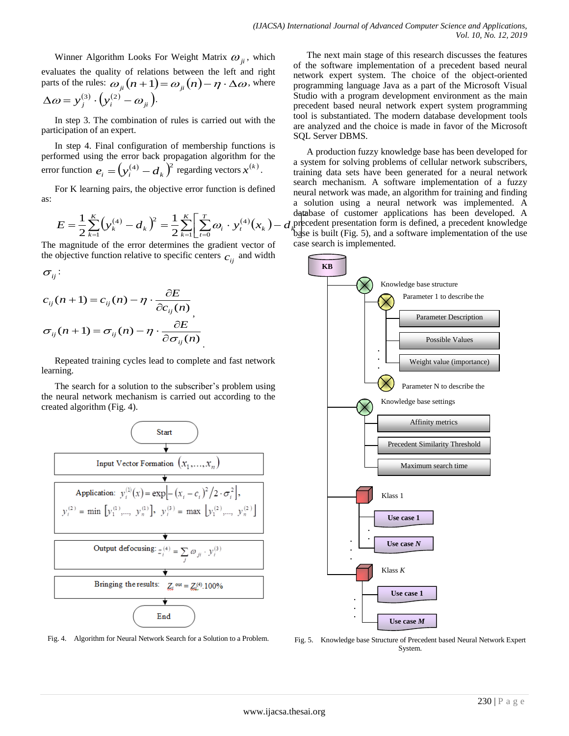Winner Algorithm Looks For Weight Matrix  $\omega_{ji}^{\vphantom{\dagger}}$ , which evaluates the quality of relations between the left and right parts of the rules:  $\omega_{ji}(n+1) = \omega_{ji}(n) - \eta \cdot \Delta \omega$ , where  $\Delta \omega = y_j^{(3)} \cdot \left( y_i^{(2)} - \omega_{ji} \right)$ 

In step 3. The combination of rules is carried out with the participation of an expert.

In step 4. Final configuration of membership functions is performed using the error back propagation algorithm for the error function  $e_i = (y_i^{(4)} - d_k)^2$  regarding vectors  $x^{(k)}$ .

For K learning pairs, the objective error function is defined as:

$$
E = \frac{1}{2} \sum_{k=1}^{K} \left( y_k^{(4)} - d_k \right)^2 = \frac{1}{2} \sum_{k=1}^{K} \left[ \sum_{t=0}^{T} \omega_i \cdot y_t^{(4)}(x_k) - d_k \right]
$$

The magnitude of the error determines the gradient vector of the objective function relative to specific centers  $c_{ij}$  and width

$$
\sigma_{_{ij}}\colon
$$

$$
c_{ij}(n+1) = c_{ij}(n) - \eta \cdot \frac{\partial E}{\partial c_{ij}(n)}
$$
  

$$
\sigma_{ij}(n+1) = \sigma_{ij}(n) - \eta \cdot \frac{\partial E}{\partial \sigma_{ij}(n)}
$$

Repeated training cycles lead to complete and fast network learning.

The search for a solution to the subscriber's problem using the neural network mechanism is carried out according to the created algorithm (Fig. 4).



Fig. 4. Algorithm for Neural Network Search for a Solution to a Problem.

The next main stage of this research discusses the features of the software implementation of a precedent based neural network expert system. The choice of the object-oriented programming language Java as a part of the Microsoft Visual Studio with a program development environment as the main precedent based neural network expert system programming tool is substantiated. The modern database development tools are analyzed and the choice is made in favor of the Microsoft SQL Server DBMS.

n<br>al base is built (Fig. 5), and a software implementation of the use database of customer applications has been developed. A<br>precedent presentation form is defined, a precedent knowledge 2 database of customer applications has been developed. A A production fuzzy knowledge base has been developed for a system for solving problems of cellular network subscribers, training data sets have been generated for a neural network search mechanism. A software implementation of a fuzzy neural network was made, an algorithm for training and finding a solution using a neural network was implemented. A case search is implemented.



Fig. 5. Knowledge base Structure of Precedent based Neural Network Expert System.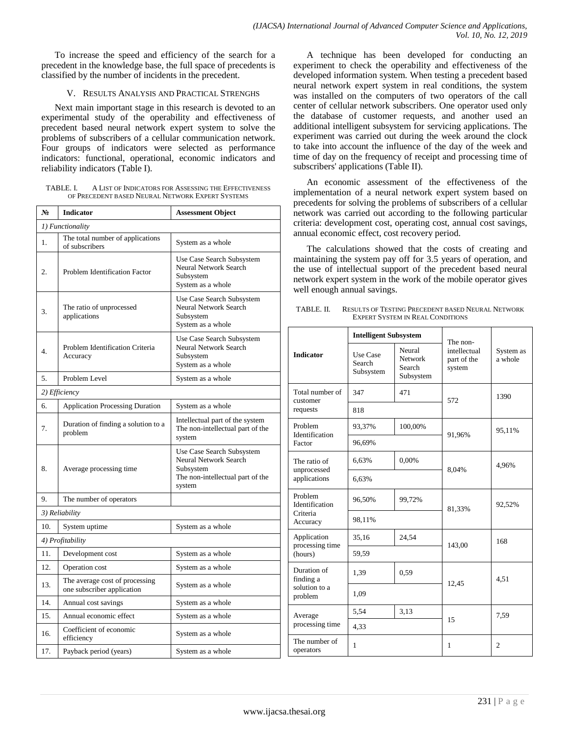To increase the speed and efficiency of the search for a precedent in the knowledge base, the full space of precedents is classified by the number of incidents in the precedent.

### V. RESULTS ANALYSIS AND PRACTICAL STRENGHS

Next main important stage in this research is devoted to an experimental study of the operability and effectiveness of precedent based neural network expert system to solve the problems of subscribers of a cellular communication network. Four groups of indicators were selected as performance indicators: functional, operational, economic indicators and reliability indicators (Table I).

| TABLE. L                                         | A LIST OF INDICATORS FOR ASSESSING THE EFFECTIVENESS |  |  |  |  |  |  |
|--------------------------------------------------|------------------------------------------------------|--|--|--|--|--|--|
| OF PRECEDENT BASED NEURAL NETWORK EXPERT SYSTEMS |                                                      |  |  |  |  |  |  |

| $N_2$            | <b>Indicator</b>                                             | <b>Assessment Object</b>                                                                                      |  |  |  |  |  |
|------------------|--------------------------------------------------------------|---------------------------------------------------------------------------------------------------------------|--|--|--|--|--|
| 1) Functionality |                                                              |                                                                                                               |  |  |  |  |  |
| 1.               | The total number of applications<br>of subscribers           | System as a whole                                                                                             |  |  |  |  |  |
| 2.               | <b>Problem Identification Factor</b>                         | Use Case Search Subsystem<br>Neural Network Search<br>Subsystem<br>System as a whole                          |  |  |  |  |  |
| 3.               | The ratio of unprocessed<br>applications                     | Use Case Search Subsystem<br>Neural Network Search<br>Subsystem<br>System as a whole                          |  |  |  |  |  |
| 4.               | Problem Identification Criteria<br>Accuracy                  | Use Case Search Subsystem<br>Neural Network Search<br>Subsystem<br>System as a whole                          |  |  |  |  |  |
| 5.               | Problem Level                                                | System as a whole                                                                                             |  |  |  |  |  |
| 2) Efficiency    |                                                              |                                                                                                               |  |  |  |  |  |
| 6.               | <b>Application Processing Duration</b>                       | System as a whole                                                                                             |  |  |  |  |  |
| 7.               | Duration of finding a solution to a<br>problem               | Intellectual part of the system<br>The non-intellectual part of the<br>system                                 |  |  |  |  |  |
| 8.               | Average processing time.                                     | Use Case Search Subsystem<br>Neural Network Search<br>Subsystem<br>The non-intellectual part of the<br>system |  |  |  |  |  |
| 9.               | The number of operators                                      |                                                                                                               |  |  |  |  |  |
|                  | 3) Reliability                                               |                                                                                                               |  |  |  |  |  |
| 10.              | System uptime                                                | System as a whole                                                                                             |  |  |  |  |  |
|                  | 4) Profitability                                             |                                                                                                               |  |  |  |  |  |
| 11.              | Development cost                                             | System as a whole                                                                                             |  |  |  |  |  |
| 12.              | Operation cost                                               | System as a whole                                                                                             |  |  |  |  |  |
| 13.              | The average cost of processing<br>one subscriber application | System as a whole                                                                                             |  |  |  |  |  |
| 14.              | Annual cost savings                                          | System as a whole                                                                                             |  |  |  |  |  |
| 15.              | Annual economic effect                                       | System as a whole                                                                                             |  |  |  |  |  |
| 16.              | Coefficient of economic<br>efficiency                        | System as a whole                                                                                             |  |  |  |  |  |
| 17.              | Payback period (years)                                       | System as a whole                                                                                             |  |  |  |  |  |

A technique has been developed for conducting an experiment to check the operability and effectiveness of the developed information system. When testing a precedent based neural network expert system in real conditions, the system was installed on the computers of two operators of the call center of cellular network subscribers. One operator used only the database of customer requests, and another used an additional intelligent subsystem for servicing applications. The experiment was carried out during the week around the clock to take into account the influence of the day of the week and time of day on the frequency of receipt and processing time of subscribers' applications (Table II).

An economic assessment of the effectiveness of the implementation of a neural network expert system based on precedents for solving the problems of subscribers of a cellular network was carried out according to the following particular criteria: development cost, operating cost, annual cost savings, annual economic effect, cost recovery period.

The calculations showed that the costs of creating and maintaining the system pay off for 3.5 years of operation, and the use of intellectual support of the precedent based neural network expert system in the work of the mobile operator gives well enough annual savings.

| TABLE. II. | <b>RESULTS OF TESTING PRECEDENT BASED NEURAL NETWORK</b> |
|------------|----------------------------------------------------------|
|            | <b>EXPERT SYSTEM IN REAL CONDITIONS</b>                  |

|                                 | <b>Intelligent Subsystem</b>    |                                                 | The non-                              |                      |
|---------------------------------|---------------------------------|-------------------------------------------------|---------------------------------------|----------------------|
| <b>Indicator</b>                | Use Case<br>Search<br>Subsystem | Neural<br><b>Network</b><br>Search<br>Subsystem | intellectual<br>part of the<br>system | System as<br>a whole |
| Total number of<br>customer     | 347                             | 471                                             | 572                                   | 1390                 |
| requests                        | 818                             |                                                 |                                       |                      |
| Problem<br>Identification       | 93,37%                          | 100,00%                                         |                                       | 95,11%               |
| Factor                          | 91,96%<br>96,69%                |                                                 |                                       |                      |
| The ratio of<br>unprocessed     | 6,63%                           | 0,00%                                           |                                       | 4,96%                |
| applications                    | 6,63%                           |                                                 | 8,04%                                 |                      |
| Problem<br>Identification       | 96,50%                          | 99,72%                                          | 81,33%                                | 92,52%               |
| Criteria<br>Accuracy            | 98,11%                          |                                                 |                                       |                      |
| Application<br>processing time  | 35,16                           | 24,54                                           | 143,00                                | 168                  |
| (hours)                         | 59,59                           |                                                 |                                       |                      |
| Duration of<br>finding a        | 1,39                            | 0,59                                            | 4,51                                  |                      |
| solution to a<br>problem        | 1,09                            |                                                 | 12,45                                 |                      |
| Average                         | 5,54                            | 3,13                                            | 15                                    | 7,59                 |
| processing time                 | 4,33                            |                                                 |                                       |                      |
| The number of<br>1<br>operators |                                 | 1                                               | $\overline{2}$                        |                      |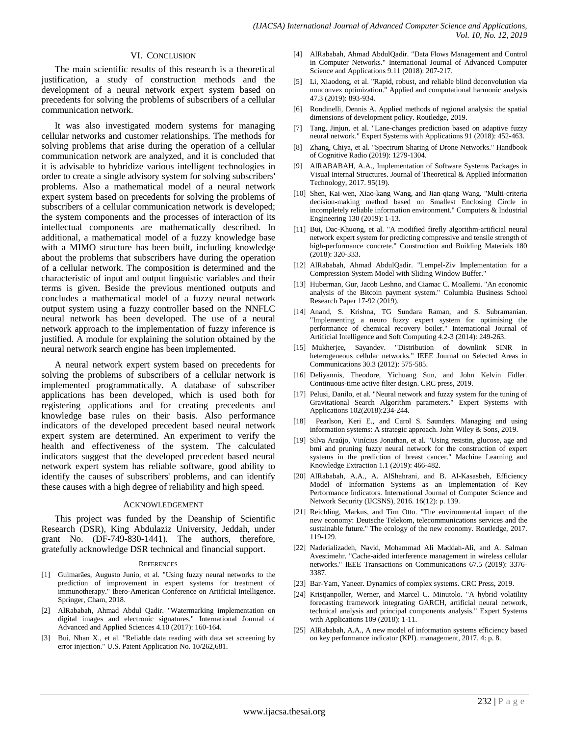#### VI. CONCLUSION

The main scientific results of this research is a theoretical justification, a study of construction methods and the development of a neural network expert system based on precedents for solving the problems of subscribers of a cellular communication network.

It was also investigated modern systems for managing cellular networks and customer relationships. The methods for solving problems that arise during the operation of a cellular communication network are analyzed, and it is concluded that it is advisable to hybridize various intelligent technologies in order to create a single advisory system for solving subscribers' problems. Also a mathematical model of a neural network expert system based on precedents for solving the problems of subscribers of a cellular communication network is developed; the system components and the processes of interaction of its intellectual components are mathematically described. In additional, a mathematical model of a fuzzy knowledge base with a MIMO structure has been built, including knowledge about the problems that subscribers have during the operation of a cellular network. The composition is determined and the characteristic of input and output linguistic variables and their terms is given. Beside the previous mentioned outputs and concludes a mathematical model of a fuzzy neural network output system using a fuzzy controller based on the NNFLC neural network has been developed. The use of a neural network approach to the implementation of fuzzy inference is justified. A module for explaining the solution obtained by the neural network search engine has been implemented.

A neural network expert system based on precedents for solving the problems of subscribers of a cellular network is implemented programmatically. A database of subscriber applications has been developed, which is used both for registering applications and for creating precedents and knowledge base rules on their basis. Also performance indicators of the developed precedent based neural network expert system are determined. An experiment to verify the health and effectiveness of the system. The calculated indicators suggest that the developed precedent based neural network expert system has reliable software, good ability to identify the causes of subscribers' problems, and can identify these causes with a high degree of reliability and high speed.

#### ACKNOWLEDGEMENT

This project was funded by the Deanship of Scientific Research (DSR), King Abdulaziz University, Jeddah, under grant No. (DF-749-830-1441). The authors, therefore, gratefully acknowledge DSR technical and financial support.

#### **REFERENCES**

- [1] Guimarães, Augusto Junio, et al. "Using fuzzy neural networks to the prediction of improvement in expert systems for treatment of immunotherapy." Ibero-American Conference on Artificial Intelligence. Springer, Cham, 2018.
- [2] AlRababah, Ahmad Abdul Qadir. "Watermarking implementation on digital images and electronic signatures." International Journal of Advanced and Applied Sciences 4.10 (2017): 160-164.
- [3] Bui, Nhan X., et al. "Reliable data reading with data set screening by error injection." U.S. Patent Application No. 10/262,681.
- [4] AlRababah, Ahmad AbdulQadir. "Data Flows Management and Control in Computer Networks." International Journal of Advanced Computer Science and Applications 9.11 (2018): 207-217.
- [5] Li, Xiaodong, et al. "Rapid, robust, and reliable blind deconvolution via nonconvex optimization." Applied and computational harmonic analysis 47.3 (2019): 893-934.
- [6] Rondinelli, Dennis A. Applied methods of regional analysis: the spatial dimensions of development policy. Routledge, 2019.
- [7] Tang, Jinjun, et al. "Lane-changes prediction based on adaptive fuzzy neural network." Expert Systems with Applications 91 (2018): 452-463.
- [8] Zhang, Chiya, et al. "Spectrum Sharing of Drone Networks." Handbook of Cognitive Radio (2019): 1279-1304.
- [9] AlRABABAH, A.A., Implementation of Software Systems Packages in Visual Internal Structures. Journal of Theoretical & Applied Information Technology, 2017. 95(19).
- [10] Shen, Kai-wen, Xiao-kang Wang, and Jian-qiang Wang. "Multi-criteria decision-making method based on Smallest Enclosing Circle in incompletely reliable information environment." Computers & Industrial Engineering 130 (2019): 1-13.
- [11] Bui, Dac-Khuong, et al. "A modified firefly algorithm-artificial neural network expert system for predicting compressive and tensile strength of high-performance concrete." Construction and Building Materials 180 (2018): 320-333.
- [12] AlRababah, Ahmad AbdulQadir. "Lempel-Ziv Implementation for a Compression System Model with Sliding Window Buffer."
- [13] Huberman, Gur, Jacob Leshno, and Ciamac C. Moallemi. "An economic analysis of the Bitcoin payment system." Columbia Business School Research Paper 17-92 (2019).
- [14] Anand, S. Krishna, TG Sundara Raman, and S. Subramanian. "Implementing a neuro fuzzy expert system for optimising the performance of chemical recovery boiler." International Journal of Artificial Intelligence and Soft Computing 4.2-3 (2014): 249-263.
- [15] Mukherjee, Sayandev. "Distribution of downlink SINR in heterogeneous cellular networks." IEEE Journal on Selected Areas in Communications 30.3 (2012): 575-585.
- [16] Deliyannis, Theodore, Yichuang Sun, and John Kelvin Fidler. Continuous-time active filter design. CRC press, 2019.
- [17] Pelusi, Danilo, et al. "Neural network and fuzzy system for the tuning of Gravitational Search Algorithm parameters." Expert Systems with Applications 102(2018):234-244.
- [18] Pearlson, Keri E., and Carol S. Saunders. Managing and using information systems: A strategic approach. John Wiley & Sons, 2019.
- [19] Silva Araújo, Vinícius Jonathan, et al. "Using resistin, glucose, age and bmi and pruning fuzzy neural network for the construction of expert systems in the prediction of breast cancer." Machine Learning and Knowledge Extraction 1.1 (2019): 466-482.
- [20] AlRababah, A.A., A. AlShahrani, and B. Al-Kasasbeh, Efficiency Model of Information Systems as an Implementation of Key Performance Indicators. International Journal of Computer Science and Network Security (IJCSNS), 2016. 16(12): p. 139.
- [21] Reichling, Markus, and Tim Otto. "The environmental impact of the new economy: Deutsche Telekom, telecommunications services and the sustainable future." The ecology of the new economy. Routledge, 2017. 119-129.
- [22] Naderializadeh, Navid, Mohammad Ali Maddah-Ali, and A. Salman Avestimehr. "Cache-aided interference management in wireless cellular networks." IEEE Transactions on Communications 67.5 (2019): 3376- 3387.
- [23] Bar-Yam, Yaneer. Dynamics of complex systems. CRC Press, 2019.
- [24] Kristjanpoller, Werner, and Marcel C. Minutolo. "A hybrid volatility forecasting framework integrating GARCH, artificial neural network, technical analysis and principal components analysis." Expert Systems with Applications 109 (2018): 1-11.
- [25] AlRababah, A.A., A new model of information systems efficiency based on key performance indicator (KPI). management, 2017. 4: p. 8.